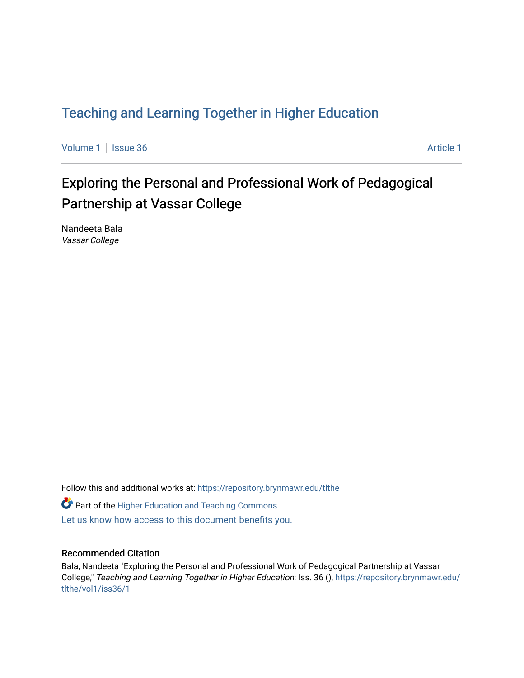## [Teaching and Learning Together in Higher Education](https://repository.brynmawr.edu/tlthe)

[Volume 1](https://repository.brynmawr.edu/tlthe/vol1) | [Issue 36](https://repository.brynmawr.edu/tlthe/vol1/iss36) Article 1

# Exploring the Personal and Professional Work of Pedagogical Partnership at Vassar College

Nandeeta Bala Vassar College

Follow this and additional works at: [https://repository.brynmawr.edu/tlthe](https://repository.brynmawr.edu/tlthe?utm_source=repository.brynmawr.edu%2Ftlthe%2Fvol1%2Fiss36%2F1&utm_medium=PDF&utm_campaign=PDFCoverPages)  **Part of the Higher Education and Teaching Commons** Let us know how access to this document benefits you.

#### Recommended Citation

Bala, Nandeeta "Exploring the Personal and Professional Work of Pedagogical Partnership at Vassar College," Teaching and Learning Together in Higher Education: Iss. 36 (), [https://repository.brynmawr.edu/](https://repository.brynmawr.edu/tlthe/vol1/iss36/1?utm_source=repository.brynmawr.edu%2Ftlthe%2Fvol1%2Fiss36%2F1&utm_medium=PDF&utm_campaign=PDFCoverPages) [tlthe/vol1/iss36/1](https://repository.brynmawr.edu/tlthe/vol1/iss36/1?utm_source=repository.brynmawr.edu%2Ftlthe%2Fvol1%2Fiss36%2F1&utm_medium=PDF&utm_campaign=PDFCoverPages)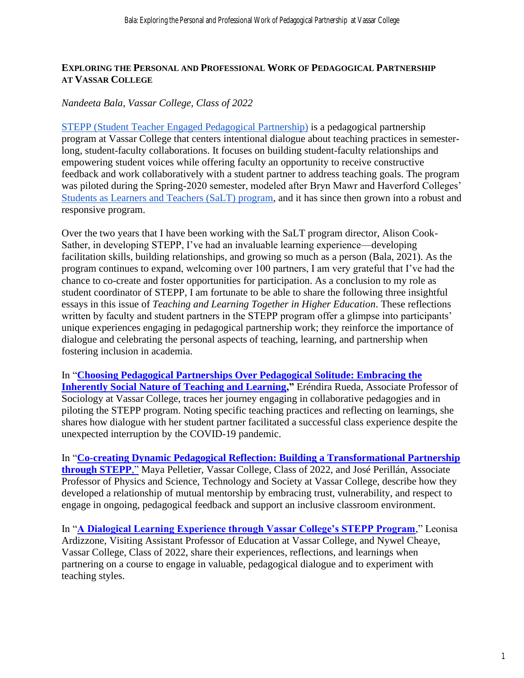#### **EXPLORING THE PERSONAL AND PROFESSIONAL WORK OF PEDAGOGICAL PARTNERSHIP AT VASSAR COLLEGE**

### *Nandeeta Bala, Vassar College, Class of 2022*

[STEPP \(Student Teacher Engaged Pedagogical Partnership\)](https://pages.vassar.edu/stepp/) is a pedagogical partnership program at Vassar College that centers intentional dialogue about teaching practices in semesterlong, student-faculty collaborations. It focuses on building student-faculty relationships and empowering student voices while offering faculty an opportunity to receive constructive feedback and work collaboratively with a student partner to address teaching goals. The program was piloted during the Spring-2020 semester, modeled after Bryn Mawr and Haverford Colleges' [Students as Learners and Teachers \(SaLT\) program,](https://tli-resources.digital.brynmawr.edu/programs-and-opportunities/salt-program/) and it has since then grown into a robust and responsive program.

Over the two years that I have been working with the SaLT program director, Alison Cook-Sather, in developing STEPP, I've had an invaluable learning experience—developing facilitation skills, building relationships, and growing so much as a person (Bala, 2021). As the program continues to expand, welcoming over 100 partners, I am very grateful that I've had the chance to co-create and foster opportunities for participation. As a conclusion to my role as student coordinator of STEPP, I am fortunate to be able to share the following three insightful essays in this issue of *Teaching and Learning Together in Higher Education*. These reflections written by faculty and student partners in the STEPP program offer a glimpse into participants' unique experiences engaging in pedagogical partnership work; they reinforce the importance of dialogue and celebrating the personal aspects of teaching, learning, and partnership when fostering inclusion in academia.

In "**[Choosing Pedagogical Partnerships Over Pedagogical Solitude: Embracing the](https://repository.brynmawr.edu/tlthe/vol1/iss36/2)  [Inherently Social Nature of Teaching and Learning,](https://repository.brynmawr.edu/tlthe/vol1/iss36/2)"** Eréndira Rueda, Associate Professor of Sociology at Vassar College, traces her journey engaging in collaborative pedagogies and in piloting the STEPP program. Noting specific teaching practices and reflecting on learnings, she shares how dialogue with her student partner facilitated a successful class experience despite the unexpected interruption by the COVID-19 pandemic.

In "**[Co-creating Dynamic Pedagogical Reflection: Building a Transformational Partnership](https://repository.brynmawr.edu/tlthe/vol1/iss36/3)  [through STEPP](https://repository.brynmawr.edu/tlthe/vol1/iss36/3)**," Maya Pelletier, Vassar College, Class of 2022, and José Perillán, Associate Professor of Physics and Science, Technology and Society at Vassar College, describe how they developed a relationship of mutual mentorship by embracing trust, vulnerability, and respect to engage in ongoing, pedagogical feedback and support an inclusive classroom environment.

In "**[A Dialogical Learning Experience through Vassar College's STEPP Program](https://repository.brynmawr.edu/tlthe/vol1/iss36/4)**," Leonisa Ardizzone, Visiting Assistant Professor of Education at Vassar College, and Nywel Cheaye, Vassar College, Class of 2022, share their experiences, reflections, and learnings when partnering on a course to engage in valuable, pedagogical dialogue and to experiment with teaching styles.